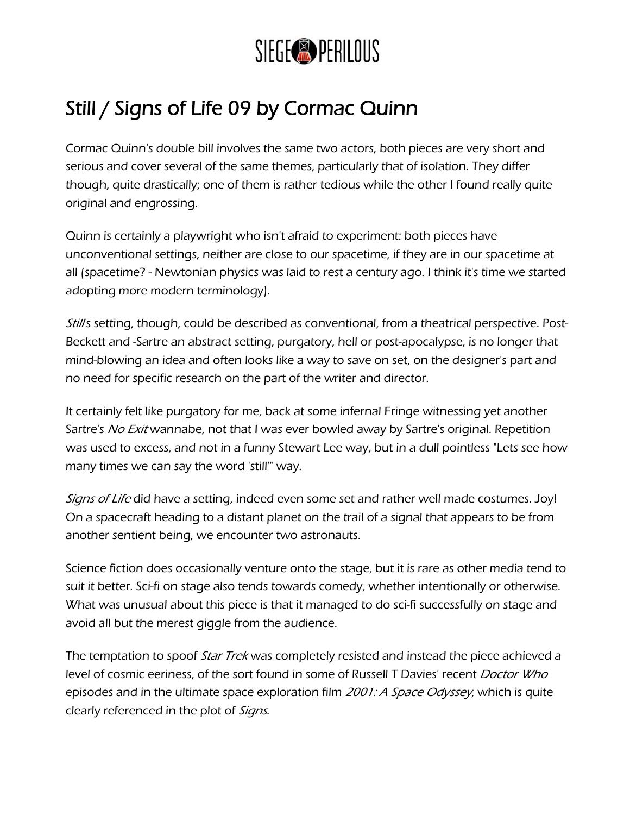

## Still / Signs of Life 09 by Cormac Quinn

Cormac Quinn's double bill involves the same two actors, both pieces are very short and serious and cover several of the same themes, particularly that of isolation. They differ though, quite drastically; one of them is rather tedious while the other I found really quite original and engrossing.

Quinn is certainly a playwright who isn't afraid to experiment: both pieces have unconventional settings, neither are close to our spacetime, if they are in our spacetime at all (spacetime? - Newtonian physics was laid to rest a century ago. I think it's time we started adopting more modern terminology).

Still's setting, though, could be described as conventional, from a theatrical perspective. Post-Beckett and -Sartre an abstract setting, purgatory, hell or post-apocalypse, is no longer that mind-blowing an idea and often looks like a way to save on set, on the designer's part and no need for specific research on the part of the writer and director.

It certainly felt like purgatory for me, back at some infernal Fringe witnessing yet another Sartre's *No Exit* wannabe, not that I was ever bowled away by Sartre's original. Repetition was used to excess, and not in a funny Stewart Lee way, but in a dull pointless "Lets see how many times we can say the word 'still'" way.

Signs of Life did have a setting, indeed even some set and rather well made costumes. Joy! On a spacecraft heading to a distant planet on the trail of a signal that appears to be from another sentient being, we encounter two astronauts.

Science fiction does occasionally venture onto the stage, but it is rare as other media tend to suit it better. Sci-fi on stage also tends towards comedy, whether intentionally or otherwise. What was unusual about this piece is that it managed to do sci-fi successfully on stage and avoid all but the merest giggle from the audience.

The temptation to spoof Star Trek was completely resisted and instead the piece achieved a level of cosmic eeriness, of the sort found in some of Russell T Davies' recent *Doctor Who* episodes and in the ultimate space exploration film 2001: A Space Odyssey, which is quite clearly referenced in the plot of *Signs*.